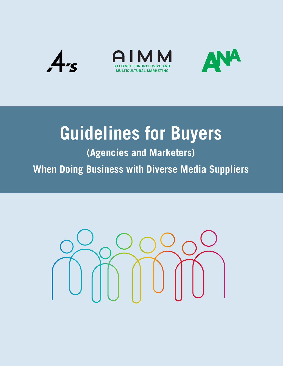

# **Guidelines for Buyers**

**(Agencies and Marketers) When Doing Business with Diverse Media Suppliers**

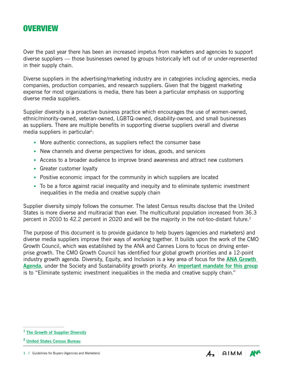#### **OVERVIEW**

Over the past year there has been an increased impetus from marketers and agencies to support diverse suppliers — those businesses owned by groups historically left out of or under-represented in their supply chain.

Diverse suppliers in the advertising/marketing industry are in categories including agencies, media companies, production companies, and research suppliers. Given that the biggest marketing expense for most organizations is media, there has been a particular emphasis on supporting diverse media suppliers.

Supplier diversity is a proactive business practice which encourages the use of women-owned, ethnic/minority-owned, veteran-owned, LGBTQ-owned, disability-owned, and small businesses as suppliers. There are multiple benefits in supporting diverse suppliers overall and diverse media suppliers in particular<sup>1</sup>:

- More authentic connections, as suppliers reflect the consumer base
- New channels and diverse perspectives for ideas, goods, and services
- Access to a broader audience to improve brand awareness and attract new customers
- Greater customer loyalty
- Positive economic impact for the community in which suppliers are located
- To be a force against racial inequality and inequity and to eliminate systemic investment inequalities in the media and creative supply chain

Supplier diversity simply follows the consumer. The latest Census results disclose that the United States is more diverse and multiracial than ever. The multicultural population increased from 36.3 percent in 2010 to 42.2 percent in 2020 and will be the majority in the not-too-distant future.<sup>2</sup>

The purpose of this document is to provide guidance to help buyers (agencies and marketers) and diverse media suppliers improve their ways of working together. It builds upon the work of the CMO Growth Council, which was established by the ANA and Cannes Lions to focus on driving enterprise growth. The CMO Growth Council has identified four global growth priorities and a 12-point industry growth agenda. Diversity, Equity, and Inclusion is a key area of focus for the **ANA Growth** [Agenda](https://www.ana.net/growthagenda?st3=2022Guidelines4Buyers), under the Society and Sustainability growth priority. An [important mandate for this group](https://ana.foleon.com/2020cmosummit/global-growth/society?st3=2022Guidelines4Buyers) is to "Eliminate systemic investment inequalities in the media and creative supply chain."



<sup>&</sup>lt;sup>1</sup> [The Growth of Supplier Diversity](http://www.ana.net/supplierdiversity?st3=2022Guidelines4Buyers)

<sup>2</sup> [United States Census Bureau](https://www.census.gov/library/stories/2021/08/2020-united-states-population-more-racially-ethnically-diverse-than-2010.html)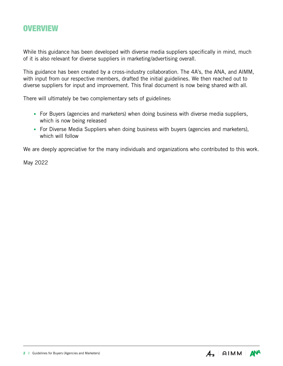#### **OVERVIEW**

While this guidance has been developed with diverse media suppliers specifically in mind, much of it is also relevant for diverse suppliers in marketing/advertising overall.

This guidance has been created by a cross-industry collaboration. The 4A's, the ANA, and AIMM, with input from our respective members, drafted the initial guidelines. We then reached out to diverse suppliers for input and improvement. This final document is now being shared with all.

There will ultimately be two complementary sets of guidelines:

- For Buyers (agencies and marketers) when doing business with diverse media suppliers, which is now being released
- For Diverse Media Suppliers when doing business with buyers (agencies and marketers), which will follow

We are deeply appreciative for the many individuals and organizations who contributed to this work.

May 2022

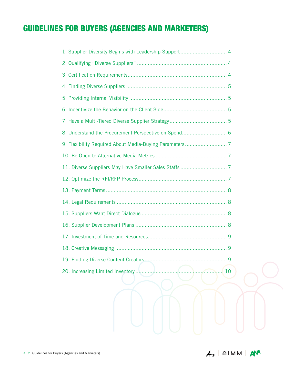| 1. Supplier Diversity Begins with Leadership Support 4 |
|--------------------------------------------------------|
|                                                        |
|                                                        |
|                                                        |
|                                                        |
|                                                        |
|                                                        |
|                                                        |
|                                                        |
|                                                        |
|                                                        |
|                                                        |
|                                                        |
|                                                        |
|                                                        |
|                                                        |
|                                                        |
|                                                        |
| 9                                                      |
| 20. Increasing Limited Inventory<br>10                 |
|                                                        |
|                                                        |

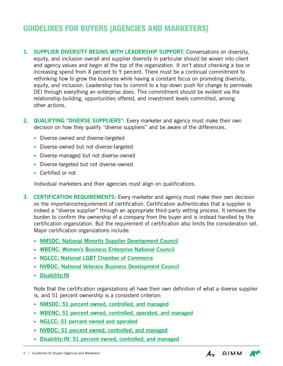- <span id="page-4-0"></span>1. SUPPLIER DIVERSITY BEGINS WITH LEADERSHIP SUPPORT: Conversations on diversity, equity, and inclusion overall and supplier diversity in particular should be woven into client and agency values and begin at the top of the organization. It isn't about checking a box or increasing spend from X percent to Y percent. There must be a continual commitment to rethinking how to grow the business while having a constant focus on promoting diversity, equity, and inclusion. Leadership has to commit to a top-down push for change to permeate DEI through everything an enterprise does. This commitment should be evident via the relationship building, opportunities offered, and investment levels committed, among other actions.
- 2. **QUALIFYING "DIVERSE SUPPLIERS":** Every marketer and agency must make their own decision on how they qualify "diverse suppliers" and be aware of the differences.
	- Diverse-owned and diverse-targeted
	- Diverse-owned but not diverse-targeted
	- Diverse-managed but not diverse-owned
	- Diverse-targeted but not diverse-owned
	- Certified or not

Individual marketers and their agencies must align on qualifications.

- **3. CERTIFICATION REQUIREMENTS:** Every marketer and agency must make their own decision on the importance/requirement of certification. Certification authenticates that a supplier is indeed a "diverse supplier" through an appropriate third-party vetting process. It removes the burden to confirm the ownership of a company from the buyer and is instead handled by the certification organization. But the requirement of certification also limits the consideration set. Major certification organizations include:
	- [NMSDC: National Minority Supplier Development Council](https://nmsdc.org)
	- [WBENC: Women's Business Enterprise National Council](https://www.wbenc.org)
	- [NGLCC: National LGBT Chamber of Commerce](http://www.nglcc.org)
	- [NVBDC: National Veterans Business Development Council](https://nvbdc.org)
	- [Disability:IN](https://disabilityin.org/)

Note that the certification organizations all have their own definition of what a diverse supplier is, and 51 percent ownership is a consistent criterion:

- [NMSDC: 51 percent owned, controlled, and managed](https://nmsdc.org/mbes/mbe-certification)
- [WBENC: 51 percent owned, controlled, operated, and managed](https://www.wbenc.org/certification)
- [NGLCC: 51 percent owned and operated](https://my.nglcc.org/register/business_enterprise)
- [NVBDC: 51 percent owned, controlled, and managed](https://nvbdc.org/faq)
- [Disability:IN: 51 percent owned, controlled, and managed](https://disabilityin.org/what-we-do/supplier-diversity/get-certified/)

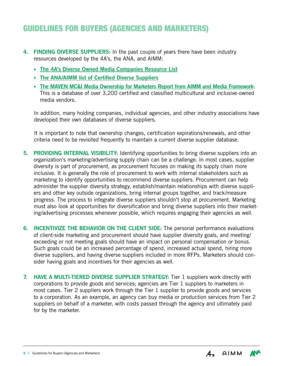- <span id="page-5-0"></span>4. FINDING DIVERSE SUPPLIERS: In the past couple of years there have been industry resources developed by the 4A's, the ANA, and AIMM:
	- [The 4A's Diverse Owned Media Companies Resource List](https://www.aaaa.org/bipoc-owned-media-companies-resource-list)
	- [The ANA/AIMM list of Certified Diverse Suppliers](http://www.ana.net/diversesuppliers?st3=2022Guidelines4Buyers)
	- [The MAVEN MC&I Media Ownership for Marketers Report from AIMM and Media Framework](https://www.anaaimm.net/initiatives/minority-owned-media): This is a database of over 3,200 certified and classified multicultural and inclusive-owned media vendors.

In addition, many holding companies, individual agencies, and other industry associations have developed their own databases of diverse suppliers.

It is important to note that ownership changes, certification expirations/renewals, and other criteria need to be revisited frequently to maintain a current diverse supplier database.

- 5. PROVIDING INTERNAL VISIBILITY: Identifying opportunities to bring diverse suppliers into an organization's marketing/advertising supply chain can be a challenge. In most cases, supplier diversity is part of procurement, as procurement focuses on making its supply chain more inclusive. It is generally the role of procurement to work with internal stakeholders such as marketing to identify opportunities to recommend diverse suppliers. Procurement can help administer the supplier diversity strategy, establish/maintain relationships with diverse suppliers and other key outside organizations, bring internal groups together, and track/measure progress. The process to integrate diverse suppliers shouldn't stop at procurement. Marketing must also look at opportunities for diversification and bring diverse suppliers into their marketing/advertising processes whenever possible, which requires engaging their agencies as well.
- 6. INCENTIVIZE THE BEHAVIOR ON THE CLIENT SIDE: The personal performance evaluations of client-side marketing and procurement should have supplier diversity goals, and meeting/ exceeding or not meeting goals should have an impact on personal compensation or bonus. Such goals could be an increased percentage of spend, increased actual spend, hiring more diverse suppliers, and having diverse suppliers included in more RFPs. Marketers should consider having goals and incentives for their agencies as well.
- 7. HAVE A MULTI-TIERED DIVERSE SUPPLIER STRATEGY: Tier 1 suppliers work directly with corporations to provide goods and services; agencies are Tier 1 suppliers to marketers in most cases. Tier 2 suppliers work through the Tier 1 supplier to provide goods and services to a corporation. As an example, an agency can buy media or production services from Tier 2 suppliers on behalf of a marketer, with costs passed through the agency and ultimately paid for by the marketer.

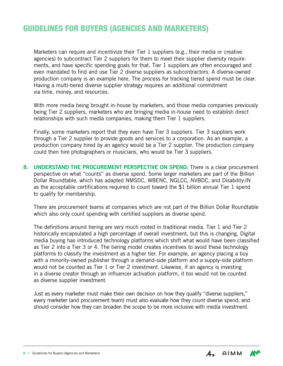<span id="page-6-0"></span>Marketers can require and incentivize their Tier 1 suppliers (e.g., their media or creative agencies) to subcontract Tier 2 suppliers for them to meet their supplier diversity requirements, and have specific spending goals for that. Tier 1 suppliers are often encouraged and even mandated to find and use Tier 2 diverse suppliers as subcontractors. A diverse-owned production company is an example here. The process for tracking tiered spend must be clear. Having a multi-tiered diverse supplier strategy requires an additional commitment via time, money, and resources.

With more media being brought in-house by marketers, and those media companies previously being Tier 2 suppliers, marketers who are bringing media in-house need to establish direct relationships with such media companies, making them Tier 1 suppliers.

Finally, some marketers report that they even have Tier 3 suppliers. Tier 3 suppliers work through a Tier 2 supplier to provide goods and services to a corporation. As an example, a production company hired by an agency would be a Tier 2 supplier. The production company could then hire photographers or musicians, who would be Tier 3 suppliers.

8. UNDERSTAND THE PROCUREMENT PERSPECTIVE ON SPEND: There is a clear procurement perspective on what "counts" as diverse spend. Some larger marketers are part of the Billion Dollar Roundtable, which has adapted NMSDC, WBENC, NGLCC, NVBDC, and Disability:IN as the acceptable certifications required to count toward the \$1 billion annual Tier 1 spend to qualify for membership.

There are procurement teams at companies which are not part of the Billion Dollar Roundtable which also only count spending with certified suppliers as diverse spend.

The definitions around tiering are very much rooted in traditional media. Tier 1 and Tier 2 historically encapsulated a high percentage of overall investment, but this is changing. Digital media buying has introduced technology platforms which shift what would have been classified as Tier 2 into a Tier 3 or 4. The tiering model creates incentives to avoid these technology platforms to classify the investment as a higher tier. For example, an agency placing a buy with a minority-owned publisher through a demand-side platform and a supply-side platform would not be counted as Tier 1 or Tier 2 investment. Likewise, if an agency is investing in a diverse creator through an influencer activation platform, it too would not be counted as diverse supplier investment.

Just as every marketer must make their own decision on how they qualify "diverse suppliers," every marketer (and procurement team) must also evaluate how they count diverse spend, and should consider how they can broaden the scope to be more inclusive with media investment.

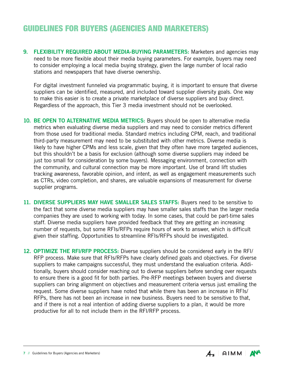<span id="page-7-0"></span>9. FLEXIBILITY REQUIRED ABOUT MEDIA-BUYING PARAMETERS: Marketers and agencies may need to be more flexible about their media buying parameters. For example, buyers may need to consider employing a local media buying strategy, given the large number of local radio stations and newspapers that have diverse ownership.

For digital investment funneled via programmatic buying, it is important to ensure that diverse suppliers can be identified, measured, and included toward supplier diversity goals. One way to make this easier is to create a private marketplace of diverse suppliers and buy direct. Regardless of the approach, this Tier 3 media investment should not be overlooked.

- 10. BE OPEN TO ALTERNATIVE MEDIA METRICS: Buyers should be open to alternative media metrics when evaluating diverse media suppliers and may need to consider metrics different from those used for traditional media. Standard metrics including CPM, reach, and traditional third-party measurement may need to be substituted with other metrics. Diverse media is likely to have higher CPMs and less scale, given that they often have more targeted audiences, but this shouldn't be a basis for exclusion (although some diverse suppliers may indeed be just too small for consideration by some buyers). Messaging environment, connection with the community, and cultural connection may be more important. Use of brand lift studies tracking awareness, favorable opinion, and intent, as well as engagement measurements such as CTRs, video completion, and shares, are valuable expansions of measurement for diverse supplier programs.
- 11. DIVERSE SUPPLIERS MAY HAVE SMALLER SALES STAFFS: Buyers need to be sensitive to the fact that some diverse media suppliers may have smaller sales staffs than the larger media companies they are used to working with today. In some cases, that could be part-time sales staff. Diverse media suppliers have provided feedback that they are getting an increasing number of requests, but some RFIs/RFPs require hours of work to answer, which is difficult given their staffing. Opportunities to streamline RFIs/RFPs should be investigated.
- 12. OPTIMIZE THE RFI/RFP PROCESS: Diverse suppliers should be considered early in the RFI/ RFP process. Make sure that RFIs/RFPs have clearly defined goals and objectives. For diverse suppliers to make campaigns successful, they must understand the evaluation criteria. Additionally, buyers should consider reaching out to diverse suppliers before sending over requests to ensure there is a good fit for both parties. Pre-RFP meetings between buyers and diverse suppliers can bring alignment on objectives and measurement criteria versus just emailing the request. Some diverse suppliers have noted that while there has been an increase in RFIs/ RFPs, there has not been an increase in new business. Buyers need to be sensitive to that, and if there is not a real intention of adding diverse suppliers to a plan, it would be more productive for all to not include them in the RFI/RFP process.

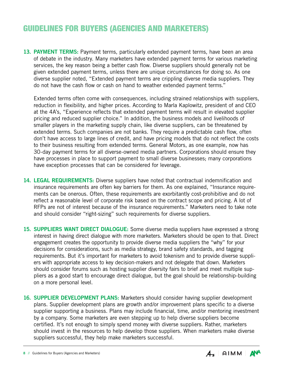<span id="page-8-0"></span>13. PAYMENT TERMS: Payment terms, particularly extended payment terms, have been an area of debate in the industry. Many marketers have extended payment terms for various marketing services, the key reason being a better cash flow. Diverse suppliers should generally not be given extended payment terms, unless there are unique circumstances for doing so. As one diverse supplier noted, "Extended payment terms are crippling diverse media suppliers. They do not have the cash flow or cash on hand to weather extended payment terms."

Extended terms often come with consequences, including strained relationships with suppliers, reduction in flexibility, and higher prices. According to Marla Kaplowitz, president of and CEO at the 4A's, "Experience reflects that extended payment terms will result in elevated supplier pricing and reduced supplier choice." In addition, the business models and livelihoods of smaller players in the marketing supply chain, like diverse suppliers, can be threatened by extended terms. Such companies are not banks. They require a predictable cash flow, often don't have access to large lines of credit, and have pricing models that do not reflect the costs to their business resulting from extended terms. General Motors, as one example, now has 30-day payment terms for all diverse-owned media partners. Corporations should ensure they have processes in place to support payment to small diverse businesses; many corporations have exception processes that can be considered for leverage.

- 14. LEGAL REQUIREMENTS: Diverse suppliers have noted that contractual indemnification and insurance requirements are often key barriers for them. As one explained, "Insurance requirements can be onerous. Often, these requirements are exorbitantly cost-prohibitive and do not reflect a reasonable level of corporate risk based on the contract scope and pricing. A lot of RFPs are not of interest because of the insurance requirements." Marketers need to take note and should consider "right-sizing" such requirements for diverse suppliers.
- 15. SUPPLIERS WANT DIRECT DIALOGUE: Some diverse media suppliers have expressed a strong interest in having direct dialogue with more marketers. Marketers should be open to that. Direct engagement creates the opportunity to provide diverse media suppliers the "why" for your decisions for considerations, such as media strategy, brand safety standards, and tagging requirements. But it's important for marketers to avoid tokenism and to provide diverse suppliers with appropriate access to key decision-makers and not delegate that down. Marketers should consider forums such as hosting supplier diversity fairs to brief and meet multiple suppliers as a good start to encourage direct dialogue, but the goal should be relationship-building on a more personal level.
- 16. SUPPLIER DEVELOPMENT PLANS: Marketers should consider having supplier development plans. Supplier development plans are growth and/or improvement plans specific to a diverse supplier supporting a business. Plans may include financial, time, and/or mentoring investment by a company. Some marketers are even stepping up to help diverse suppliers become certified. It's not enough to simply spend money with diverse suppliers. Rather, marketers should invest in the resources to help develop those suppliers. When marketers make diverse suppliers successful, they help make marketers successful.

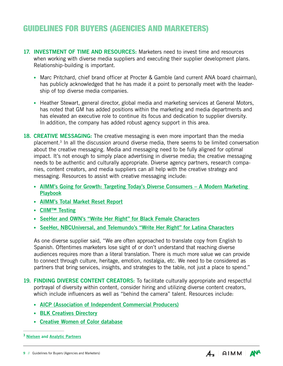- <span id="page-9-0"></span>17. INVESTMENT OF TIME AND RESOURCES: Marketers need to invest time and resources when working with diverse media suppliers and executing their supplier development plans. Relationship-building is important.
	- Marc Pritchard, chief brand officer at Procter & Gamble (and current ANA board chairman), has publicly acknowledged that he has made it a point to personally meet with the leadership of top diverse media companies.
	- Heather Stewart, general director, global media and marketing services at General Motors, has noted that GM has added positions within the marketing and media departments and has elevated an executive role to continue its focus and dedication to supplier diversity. In addition, the company has added robust agency support in this area.
- 18. CREATIVE MESSAGING: The creative messaging is even more important than the media placement.3 In all the discussion around diverse media, there seems to be limited conversation about the creative messaging. Media and messaging need to be fully aligned for optimal impact. It's not enough to simply place advertising in diverse media; the creative messaging needs to be authentic and culturally appropriate. Diverse agency partners, research companies, content creators, and media suppliers can all help with the creative strategy and messaging. Resources to assist with creative messaging include:
	- [AIMM's Going for Growth: Targeting Today's Diverse Consumers A Modern Marketing](https://aimm.sharefile.com/d-s1fccae2c7efb489aa453dfae41d090d8)  [Playbook](https://aimm.sharefile.com/d-s1fccae2c7efb489aa453dfae41d090d8)
	- [AIMM's Total Market Reset Report](https://aimm.sharefile.com/d-s56494de3b139417e838a7560b8857f7f)
	- [CIIM™ Testing](https://www.anaaimm.net/resources/ciim)
	- [SeeHer and OWN's "Write Her Right" for Black Female Characters](https://www.seeher.com/wp-content/uploads/2021/03/WriteHerRight-FINAL-PDF.pdf)
	- [SeeHer, NBCUniversal, and Telemundo's "Write Her Right" for Latina Characters](https://www.seeher.com/wp-content/uploads/2021/10/WriteHerRight-Latina-Storytelling-Guide.pdf)

As one diverse supplier said, "We are often approached to translate copy from English to Spanish. Oftentimes marketers lose sight of or don't understand that reaching diverse audiences requires more than a literal translation. There is much more value we can provide to connect through culture, heritage, emotion, nostalgia, etc. We need to be considered as partners that bring services, insights, and strategies to the table, not just a place to spend."

- 19. FINDING DIVERSE CONTENT CREATORS: To facilitate culturally appropriate and respectful portrayal of diversity within content, consider hiring and utilizing diverse content creators, which include influencers as well as "behind the camera" talent. Resources include:
	- [AICP \(Association of Independent Commercial Producers\)](https://www.aicp.com/initiatives/equity-and-inclusion/diversity-initiative-participants)
	- [BLK Creatives Directory](https://blkcreatives.com/blkcreatives-directory-of-black-creatives)
	- [Creative Women of Color database](https://docs.google.com/spreadsheets/d/16AFWbti2TLiGMqmfMI4fDSFX28Mw8n0-As73iNn0R5k/edit#gid=363386725)



<sup>&</sup>lt;sup>3</sup> [Nielsen](https://www.nielsen.com/us/en/insights/article/2017/when-it-comes-to-advertising-effectiveness-what-is-key) and [Analytic Partners](https://hubs.ly/H0K-qXV0)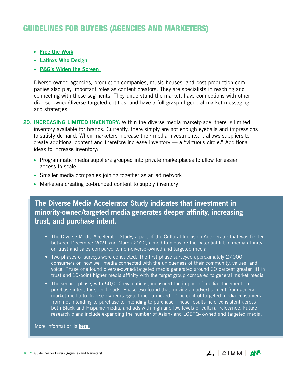- <span id="page-10-0"></span>• [Free the Work](https://freethework.com/)
- [Latinxs Who Design](https://www.latinxswhodesign.com/)
- [P&G's Widen the Screen](https://us.pg.com/widen-the-screen)

Diverse-owned agencies, production companies, music houses, and post-production companies also play important roles as content creators. They are specialists in reaching and connecting with these segments. They understand the market, have connections with other diverse-owned/diverse-targeted entities, and have a full grasp of general market messaging and strategies.

- 20. **INCREASING LIMITED INVENTORY:** Within the diverse media marketplace, there is limited inventory available for brands. Currently, there simply are not enough eyeballs and impressions to satisfy demand. When marketers increase their media investments, it allows suppliers to create additional content and therefore increase inventory — a "virtuous circle." Additional ideas to increase inventory:
	- Programmatic media suppliers grouped into private marketplaces to allow for easier access to scale
	- Smaller media companies joining together as an ad network
	- Marketers creating co-branded content to supply inventory

#### The Diverse Media Accelerator Study indicates that investment in minority-owned/targeted media generates deeper affinity, increasing trust, and purchase intent.

- The Diverse Media Accelerator Study, a part of the Cultural Inclusion Accelerator that was fielded between December 2021 and March 2022, aimed to measure the potential lift in media affinity on trust and sales compared to non-diverse-owned and targeted media.
- Two phases of surveys were conducted. The first phase surveyed approximately 27,000 consumers on how well media connected with the uniqueness of their community, values, and voice. Phase one found diverse-owned/targeted media generated around 20 percent greater lift in trust and 10-point higher media affinity with the target group compared to general market media.
- The second phase, with 50,000 evaluations, measured the impact of media placement on purchase intent for specific ads. Phase two found that moving an advertisement from general market media to diverse-owned/targeted media moved 10 percent of targeted media consumers from not intending to purchase to intending to purchase. These results held consistent across both Black and Hispanic media, and ads with high and low levels of cultural relevance. Future research plans include expanding the number of Asian- and LGBTQ- owned and targeted media.

More information is **[here.](https://www.anaaimm.net/resources/ciim)**